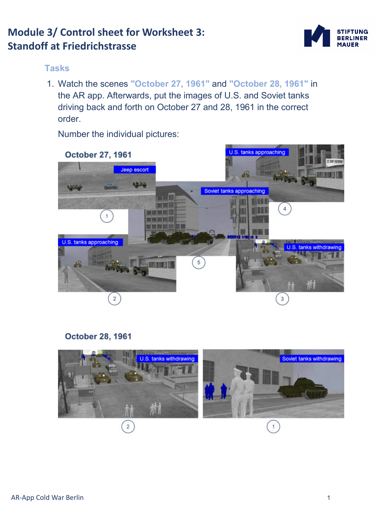# **Module 3/ Control sheet for Worksheet 3: Standoff at Friedrichstrasse**



#### **Tasks**

1. Watch the scenes **"October 27, 1961"** and **"October 28, 1961"** in the AR app. Afterwards, put the images of U.S. and Soviet tanks driving back and forth on October 27 and 28, 1961 in the correct order.

Number the individual pictures:



### **October 28, 1961**

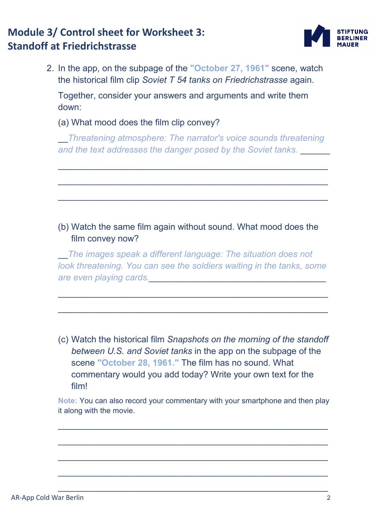# **Module 3/ Control sheet for Worksheet 3: Standoff at Friedrichstrasse**



2. In the app, on the subpage of the **"October 27, 1961"** scene, watch the historical film clip *Soviet T 54 tanks on Friedrichstrasse* again. Together, consider your answers and arguments and write them down:

(a) What mood does the film clip convey?

\_\_*Threatening atmosphere: The narrator's voice sounds threatening and the text addresses the danger posed by the Soviet tanks.* \_\_\_\_\_\_

 $\_$  , and the state of the state of the state of the state of the state of the state of the state of the state of the state of the state of the state of the state of the state of the state of the state of the state of the

\_\_\_\_\_\_\_\_\_\_\_\_\_\_\_\_\_\_\_\_\_\_\_\_\_\_\_\_\_\_\_\_\_\_\_\_\_\_\_\_\_\_\_\_\_\_\_\_\_\_\_\_\_\_\_

\_\_\_\_\_\_\_\_\_\_\_\_\_\_\_\_\_\_\_\_\_\_\_\_\_\_\_\_\_\_\_\_\_\_\_\_\_\_\_\_\_\_\_\_\_\_\_\_\_\_\_\_\_\_\_

### (b) Watch the same film again without sound. What mood does the film convey now?

\_\_*The images speak a different language: The situation does not look threatening. You can see the soldiers waiting in the tanks, some are even playing cards.\_\_\_\_\_*\_\_\_\_\_\_\_\_\_\_\_\_\_\_\_\_\_\_\_\_\_\_\_\_\_\_\_\_\_\_\_

\_\_\_\_\_\_\_\_\_\_\_\_\_\_\_\_\_\_\_\_\_\_\_\_\_\_\_\_\_\_\_\_\_\_\_\_\_\_\_\_\_\_\_\_\_\_\_\_\_\_\_\_\_\_\_

 $\_$  , and the state of the state of the state of the state of the state of the state of the state of the state of the state of the state of the state of the state of the state of the state of the state of the state of the

(c) Watch the historical film *Snapshots on the morning of the standoff between U.S. and Soviet tanks* in the app on the subpage of the scene **"October 28, 1961."** The film has no sound. What commentary would you add today? Write your own text for the film!

**Note:** You can also record your commentary with your smartphone and then play it along with the movie.

\_\_\_\_\_\_\_\_\_\_\_\_\_\_\_\_\_\_\_\_\_\_\_\_\_\_\_\_\_\_\_\_\_\_\_\_\_\_\_\_\_\_\_\_\_\_\_\_\_\_\_\_\_\_\_

\_\_\_\_\_\_\_\_\_\_\_\_\_\_\_\_\_\_\_\_\_\_\_\_\_\_\_\_\_\_\_\_\_\_\_\_\_\_\_\_\_\_\_\_\_\_\_\_\_\_\_\_\_\_\_

\_\_\_\_\_\_\_\_\_\_\_\_\_\_\_\_\_\_\_\_\_\_\_\_\_\_\_\_\_\_\_\_\_\_\_\_\_\_\_\_\_\_\_\_\_\_\_\_\_\_\_\_\_\_\_

\_\_\_\_\_\_\_\_\_\_\_\_\_\_\_\_\_\_\_\_\_\_\_\_\_\_\_\_\_\_\_\_\_\_\_\_\_\_\_\_\_\_\_\_\_\_\_\_\_\_\_\_\_\_\_

\_\_\_\_\_\_\_\_\_\_\_\_\_\_\_\_\_\_\_\_\_\_\_\_\_\_\_\_\_\_\_\_\_\_\_\_\_\_\_\_\_\_\_\_\_\_\_\_\_\_\_\_\_\_\_